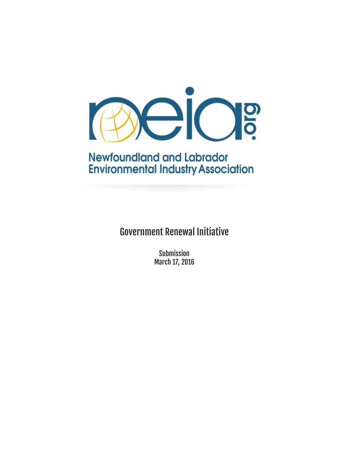

# **Newfoundland and Labrador Environmental Industry Association**

Government Renewal Initiative

Submission March 17, 2016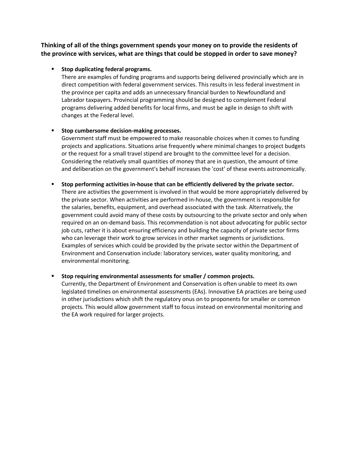**Thinking of all of the things government spends your money on to provide the residents of the province with services, what are things that could be stopped in order to save money?**

# **Stop duplicating federal programs.**

There are examples of funding programs and supports being delivered provincially which are in direct competition with federal government services. This results in less federal investment in the province per capita and adds an unnecessary financial burden to Newfoundland and Labrador taxpayers. Provincial programming should be designed to complement Federal programs delivering added benefits for local firms, and must be agile in design to shift with changes at the Federal level.

# **Stop cumbersome decision-making processes.**

Government staff must be empowered to make reasonable choices when it comes to funding projects and applications. Situations arise frequently where minimal changes to project budgets or the request for a small travel stipend are brought to the committee level for a decision. Considering the relatively small quantities of money that are in question, the amount of time and deliberation on the government's behalf increases the 'cost' of these events astronomically.

### **Stop performing activities in-house that can be efficiently delivered by the private sector.**

There are activities the government is involved in that would be more appropriately delivered by the private sector. When activities are performed in-house, the government is responsible for the salaries, benefits, equipment, and overhead associated with the task. Alternatively, the government could avoid many of these costs by outsourcing to the private sector and only when required on an on-demand basis. This recommendation is not about advocating for public sector job cuts, rather it is about ensuring efficiency and building the capacity of private sector firms who can leverage their work to grow services in other market segments or jurisdictions. Examples of services which could be provided by the private sector within the Department of Environment and Conservation include: laboratory services, water quality monitoring, and environmental monitoring.

# **Stop requiring environmental assessments for smaller / common projects.**

Currently, the Department of Environment and Conservation is often unable to meet its own legislated timelines on environmental assessments (EAs). Innovative EA practices are being used in other jurisdictions which shift the regulatory onus on to proponents for smaller or common projects. This would allow government staff to focus instead on environmental monitoring and the EA work required for larger projects.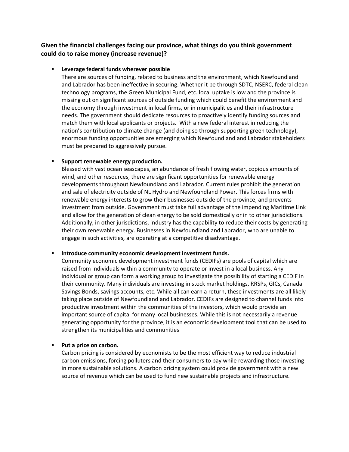# **Given the financial challenges facing our province, what things do you think government could do to raise money (increase revenue)?**

# **Leverage federal funds wherever possible**

There are sources of funding, related to business and the environment, which Newfoundland and Labrador has been ineffective in securing. Whether it be through SDTC, NSERC, federal clean technology programs, the Green Municipal Fund, etc. local uptake is low and the province is missing out on significant sources of outside funding which could benefit the environment and the economy through investment in local firms, or in municipalities and their infrastructure needs. The government should dedicate resources to proactively identify funding sources and match them with local applicants or projects. With a new federal interest in reducing the nation's contribution to climate change (and doing so through supporting green technology), enormous funding opportunities are emerging which Newfoundland and Labrador stakeholders must be prepared to aggressively pursue.

# **Support renewable energy production.**

Blessed with vast ocean seascapes, an abundance of fresh flowing water, copious amounts of wind, and other resources, there are significant opportunities for renewable energy developments throughout Newfoundland and Labrador. Current rules prohibit the generation and sale of electricity outside of NL Hydro and Newfoundland Power. This forces firms with renewable energy interests to grow their businesses outside of the province, and prevents investment from outside. Government must take full advantage of the impending Maritime Link and allow for the generation of clean energy to be sold domestically or in to other jurisdictions. Additionally, in other jurisdictions, industry has the capability to reduce their costs by generating their own renewable energy. Businesses in Newfoundland and Labrador, who are unable to engage in such activities, are operating at a competitive disadvantage.

# **Introduce community economic development investment funds.**

Community economic development investment funds (CEDIFs) are pools of capital which are raised from individuals within a community to operate or invest in a local business. Any individual or group can form a working group to investigate the possibility of starting a CEDIF in their community. Many individuals are investing in stock market holdings, RRSPs, GICs, Canada Savings Bonds, savings accounts, etc. While all can earn a return, these investments are all likely taking place outside of Newfoundland and Labrador. CEDIFs are designed to channel funds into productive investment within the communities of the investors, which would provide an important source of capital for many local businesses. While this is not necessarily a revenue generating opportunity for the province, it is an economic development tool that can be used to strengthen its municipalities and communities

# **Put a price on carbon.**

Carbon pricing is considered by economists to be the most efficient way to reduce industrial carbon emissions, forcing polluters and their consumers to pay while rewarding those investing in more sustainable solutions. A carbon pricing system could provide government with a new source of revenue which can be used to fund new sustainable projects and infrastructure.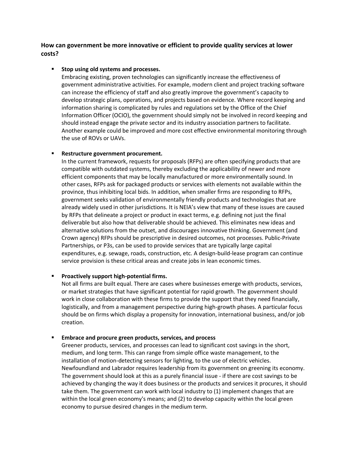**How can government be more innovative or efficient to provide quality services at lower costs?**

### **F** Stop using old systems and processes.

Embracing existing, proven technologies can significantly increase the effectiveness of government administrative activities. For example, modern client and project tracking software can increase the efficiency of staff and also greatly improve the government's capacity to develop strategic plans, operations, and projects based on evidence. Where record keeping and information sharing is complicated by rules and regulations set by the Office of the Chief Information Officer (OCIO), the government should simply not be involved in record keeping and should instead engage the private sector and its industry association partners to facilitate. Another example could be improved and more cost effective environmental monitoring through the use of ROVs or UAVs.

### **Restructure government procurement.**

In the current framework, requests for proposals (RFPs) are often specifying products that are compatible with outdated systems, thereby excluding the applicability of newer and more efficient components that may be locally manufactured or more environmentally sound. In other cases, RFPs ask for packaged products or services with elements not available within the province, thus inhibiting local bids. In addition, when smaller firms are responding to RFPs, government seeks validation of environmentally friendly products and technologies that are already widely used in other jurisdictions. It is NEIA's view that many of these issues are caused by RFPs that delineate a project or product in exact terms, e.g. defining not just the final deliverable but also how that deliverable should be achieved. This eliminates new ideas and alternative solutions from the outset, and discourages innovative thinking. Government (and Crown agency) RFPs should be prescriptive in desired outcomes, not processes. Public-Private Partnerships, or P3s, can be used to provide services that are typically large capital expenditures, e.g. sewage, roads, construction, etc. A design-build-lease program can continue service provision is these critical areas and create jobs in lean economic times.

#### **Proactively support high-potential firms.**

Not all firms are built equal. There are cases where businesses emerge with products, services, or market strategies that have significant potential for rapid growth. The government should work in close collaboration with these firms to provide the support that they need financially, logistically, and from a management perspective during high-growth phases. A particular focus should be on firms which display a propensity for innovation, international business, and/or job creation.

#### **Embrace and procure green products, services, and process**

Greener products, services, and processes can lead to significant cost savings in the short, medium, and long term. This can range from simple office waste management, to the installation of motion-detecting sensors for lighting, to the use of electric vehicles. Newfoundland and Labrador requires leadership from its government on greening its economy. The government should look at this as a purely financial issue - if there are cost savings to be achieved by changing the way it does business or the products and services it procures, it should take them. The government can work with local industry to (1) implement changes that are within the local green economy's means; and (2) to develop capacity within the local green economy to pursue desired changes in the medium term.